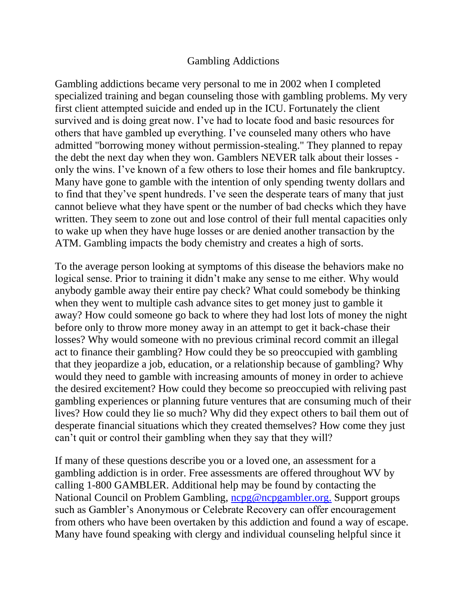## Gambling Addictions

Gambling addictions became very personal to me in 2002 when I completed specialized training and began counseling those with gambling problems. My very first client attempted suicide and ended up in the ICU. Fortunately the client survived and is doing great now. I've had to locate food and basic resources for others that have gambled up everything. I've counseled many others who have admitted "borrowing money without permission-stealing." They planned to repay the debt the next day when they won. Gamblers NEVER talk about their losses only the wins. I've known of a few others to lose their homes and file bankruptcy. Many have gone to gamble with the intention of only spending twenty dollars and to find that they've spent hundreds. I've seen the desperate tears of many that just cannot believe what they have spent or the number of bad checks which they have written. They seem to zone out and lose control of their full mental capacities only to wake up when they have huge losses or are denied another transaction by the ATM. Gambling impacts the body chemistry and creates a high of sorts.

To the average person looking at symptoms of this disease the behaviors make no logical sense. Prior to training it didn't make any sense to me either. Why would anybody gamble away their entire pay check? What could somebody be thinking when they went to multiple cash advance sites to get money just to gamble it away? How could someone go back to where they had lost lots of money the night before only to throw more money away in an attempt to get it back-chase their losses? Why would someone with no previous criminal record commit an illegal act to finance their gambling? How could they be so preoccupied with gambling that they jeopardize a job, education, or a relationship because of gambling? Why would they need to gamble with increasing amounts of money in order to achieve the desired excitement? How could they become so preoccupied with reliving past gambling experiences or planning future ventures that are consuming much of their lives? How could they lie so much? Why did they expect others to bail them out of desperate financial situations which they created themselves? How come they just can't quit or control their gambling when they say that they will?

If many of these questions describe you or a loved one, an assessment for a gambling addiction is in order. Free assessments are offered throughout WV by calling 1-800 GAMBLER. Additional help may be found by contacting the National Council on Problem Gambling, [ncpg@ncpgambler.org.](http://webmailb.juno.com/webmail/new/21?folder=Health%20Article%20Betsy&msgNum=00000UG0:0017qiFT00001YsE&count=1339012074&randid=1110453813&attachId=0&isUnDisplayableMail=yes&blockImages=0&randid=1110453813) Support groups such as Gambler's Anonymous or Celebrate Recovery can offer encouragement from others who have been overtaken by this addiction and found a way of escape. Many have found speaking with clergy and individual counseling helpful since it